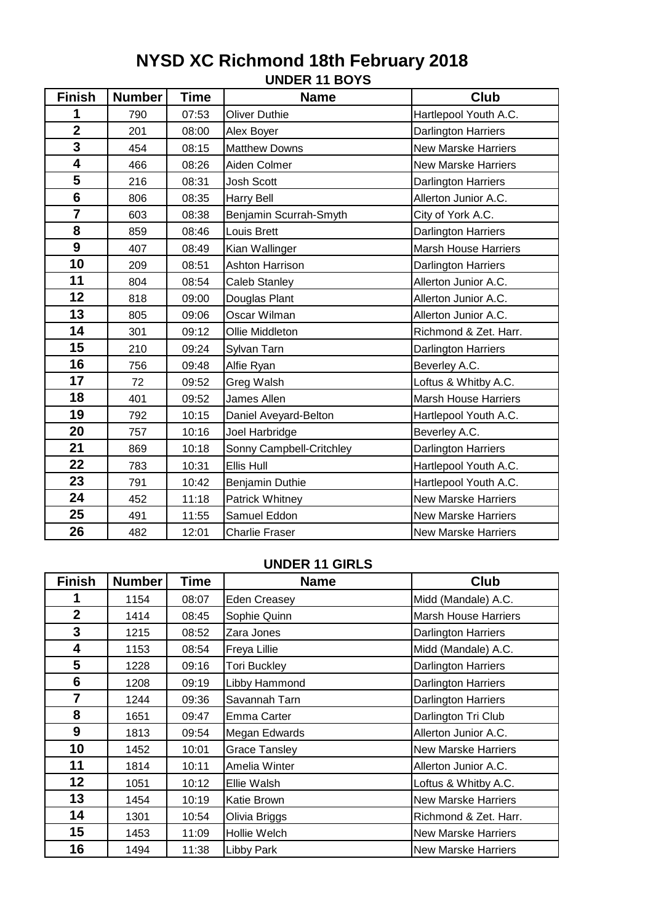# **UNDER 11 BOYS NYSD XC Richmond 18th February 2018**

| <b>Finish</b>           | <b>Number</b> | <b>Time</b> | <b>Name</b>              | Club                        |
|-------------------------|---------------|-------------|--------------------------|-----------------------------|
| 1                       | 790           | 07:53       | <b>Oliver Duthie</b>     | Hartlepool Youth A.C.       |
| $\overline{\mathbf{2}}$ | 201           | 08:00       | Alex Boyer               | Darlington Harriers         |
| 3                       | 454           | 08:15       | <b>Matthew Downs</b>     | <b>New Marske Harriers</b>  |
| 4                       | 466           | 08:26       | Aiden Colmer             | <b>New Marske Harriers</b>  |
| 5                       | 216           | 08:31       | <b>Josh Scott</b>        | Darlington Harriers         |
| 6                       | 806           | 08:35       | <b>Harry Bell</b>        | Allerton Junior A.C.        |
| $\overline{7}$          | 603           | 08:38       | Benjamin Scurrah-Smyth   | City of York A.C.           |
| 8                       | 859           | 08:46       | Louis Brett              | <b>Darlington Harriers</b>  |
| 9                       | 407           | 08:49       | Kian Wallinger           | <b>Marsh House Harriers</b> |
| 10                      | 209           | 08:51       | Ashton Harrison          | Darlington Harriers         |
| 11                      | 804           | 08:54       | <b>Caleb Stanley</b>     | Allerton Junior A.C.        |
| 12                      | 818           | 09:00       | Douglas Plant            | Allerton Junior A.C.        |
| 13                      | 805           | 09:06       | Oscar Wilman             | Allerton Junior A.C.        |
| 14                      | 301           | 09:12       | Ollie Middleton          | Richmond & Zet. Harr.       |
| 15                      | 210           | 09:24       | Sylvan Tarn              | Darlington Harriers         |
| 16                      | 756           | 09:48       | Alfie Ryan               | Beverley A.C.               |
| 17                      | 72            | 09:52       | Greg Walsh               | Loftus & Whitby A.C.        |
| 18                      | 401           | 09:52       | James Allen              | <b>Marsh House Harriers</b> |
| 19                      | 792           | 10:15       | Daniel Aveyard-Belton    | Hartlepool Youth A.C.       |
| 20                      | 757           | 10:16       | Joel Harbridge           | Beverley A.C.               |
| 21                      | 869           | 10:18       | Sonny Campbell-Critchley | <b>Darlington Harriers</b>  |
| 22                      | 783           | 10:31       | Ellis Hull               | Hartlepool Youth A.C.       |
| 23                      | 791           | 10:42       | Benjamin Duthie          | Hartlepool Youth A.C.       |
| 24                      | 452           | 11:18       | Patrick Whitney          | <b>New Marske Harriers</b>  |
| 25                      | 491           | 11:55       | Samuel Eddon             | <b>New Marske Harriers</b>  |
| 26                      | 482           | 12:01       | <b>Charlie Fraser</b>    | <b>New Marske Harriers</b>  |

#### **UNDER 11 GIRLS**

| <b>Finish</b>  | <b>Number</b> | Time  | <b>Name</b>          | Club                        |
|----------------|---------------|-------|----------------------|-----------------------------|
| 1              | 1154          | 08:07 | Eden Creasey         | Midd (Mandale) A.C.         |
| $\overline{2}$ | 1414          | 08:45 | Sophie Quinn         | <b>Marsh House Harriers</b> |
| 3              | 1215          | 08:52 | Zara Jones           | Darlington Harriers         |
| 4              | 1153          | 08:54 | Freya Lillie         | Midd (Mandale) A.C.         |
| 5              | 1228          | 09:16 | <b>Tori Buckley</b>  | <b>Darlington Harriers</b>  |
| 6              | 1208          | 09:19 | Libby Hammond        | <b>Darlington Harriers</b>  |
| 7              | 1244          | 09:36 | Savannah Tarn        | <b>Darlington Harriers</b>  |
| 8              | 1651          | 09:47 | Emma Carter          | Darlington Tri Club         |
| 9              | 1813          | 09:54 | Megan Edwards        | Allerton Junior A.C.        |
| 10             | 1452          | 10:01 | <b>Grace Tansley</b> | <b>New Marske Harriers</b>  |
| 11             | 1814          | 10:11 | Amelia Winter        | Allerton Junior A.C.        |
| 12             | 1051          | 10:12 | Ellie Walsh          | Loftus & Whitby A.C.        |
| 13             | 1454          | 10:19 | Katie Brown          | <b>New Marske Harriers</b>  |
| 14             | 1301          | 10:54 | Olivia Briggs        | Richmond & Zet. Harr.       |
| 15             | 1453          | 11:09 | Hollie Welch         | <b>New Marske Harriers</b>  |
| 16             | 1494          | 11:38 | Libby Park           | <b>New Marske Harriers</b>  |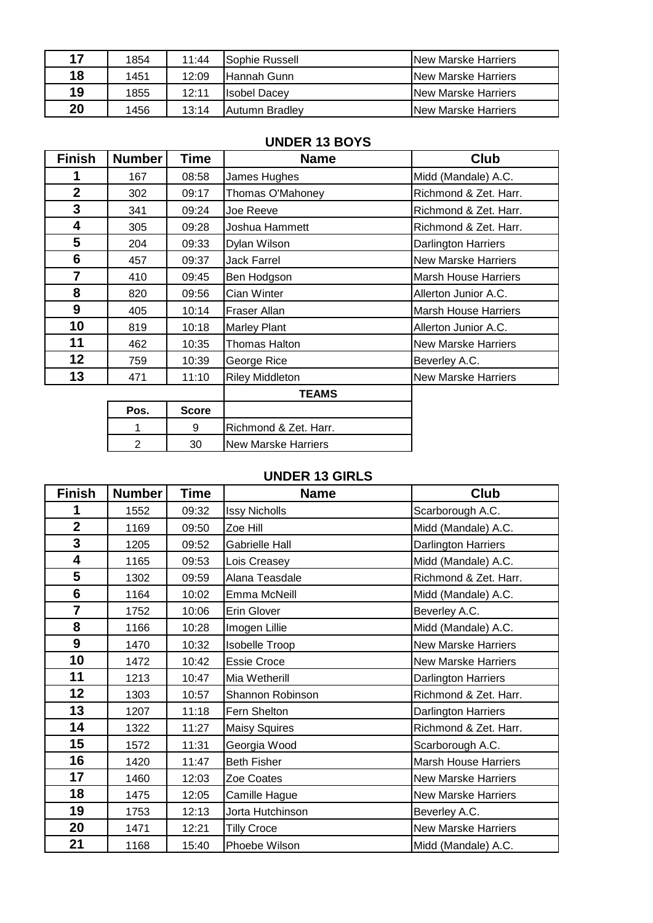| 17 | 1854 | 11:44 | ISophie Russell     | <b>INew Marske Harriers</b> |
|----|------|-------|---------------------|-----------------------------|
| 18 | 1451 | 12:09 | lHannah Gunn.       | <b>INew Marske Harriers</b> |
| 19 | 1855 | 12:11 | <b>Isobel Dacev</b> | <b>INew Marske Harriers</b> |
| 20 | 1456 | 13:14 | Autumn Bradlev      | <b>INew Marske Harriers</b> |

### **UNDER 13 BOYS**

| <b>Finish</b>  | <b>Number</b> | Time  | <b>Name</b>            | <b>Club</b>                 |
|----------------|---------------|-------|------------------------|-----------------------------|
|                | 167           | 08:58 | James Hughes           | Midd (Mandale) A.C.         |
| $\overline{2}$ | 302           | 09:17 | Thomas O'Mahoney       | Richmond & Zet. Harr.       |
| 3              | 341           | 09:24 | Joe Reeve              | Richmond & Zet. Harr.       |
| 4              | 305           | 09:28 | Joshua Hammett         | Richmond & Zet. Harr.       |
| 5              | 204           | 09:33 | Dylan Wilson           | <b>Darlington Harriers</b>  |
| 6              | 457           | 09:37 | <b>Jack Farrel</b>     | <b>New Marske Harriers</b>  |
| $\overline{7}$ | 410           | 09:45 | Ben Hodgson            | <b>Marsh House Harriers</b> |
| 8              | 820           | 09:56 | Cian Winter            | Allerton Junior A.C.        |
| 9              | 405           | 10:14 | Fraser Allan           | <b>Marsh House Harriers</b> |
| 10             | 819           | 10:18 | <b>Marley Plant</b>    | Allerton Junior A.C.        |
| 11             | 462           | 10:35 | <b>Thomas Halton</b>   | <b>New Marske Harriers</b>  |
| 12             | 759           | 10:39 | George Rice            | Beverley A.C.               |
| 13             | 471           | 11:10 | <b>Riley Middleton</b> | <b>New Marske Harriers</b>  |
|                |               |       | <b>TEAMS</b>           |                             |
|                | <b>Doo</b>    | 0.000 |                        |                             |

| Pos. | <b>Score</b> |                       |
|------|--------------|-----------------------|
|      |              | Richmond & Zet. Harr. |
|      |              | New Marske Harriers   |

## **UNDER 13 GIRLS**

| <b>Finish</b>  | <b>Number</b> | Time  | <b>Name</b>           | Club                        |
|----------------|---------------|-------|-----------------------|-----------------------------|
| 1              | 1552          | 09:32 | <b>Issy Nicholls</b>  | Scarborough A.C.            |
| $\overline{2}$ | 1169          | 09:50 | Zoe Hill              | Midd (Mandale) A.C.         |
| 3              | 1205          | 09:52 | <b>Gabrielle Hall</b> | Darlington Harriers         |
| 4              | 1165          | 09:53 | Lois Creasey          | Midd (Mandale) A.C.         |
| 5              | 1302          | 09:59 | Alana Teasdale        | Richmond & Zet. Harr.       |
| 6              | 1164          | 10:02 | Emma McNeill          | Midd (Mandale) A.C.         |
| $\overline{7}$ | 1752          | 10:06 | Erin Glover           | Beverley A.C.               |
| 8              | 1166          | 10:28 | Imogen Lillie         | Midd (Mandale) A.C.         |
| 9              | 1470          | 10:32 | Isobelle Troop        | <b>New Marske Harriers</b>  |
| 10             | 1472          | 10:42 | <b>Essie Croce</b>    | <b>New Marske Harriers</b>  |
| 11             | 1213          | 10:47 | Mia Wetherill         | Darlington Harriers         |
| 12             | 1303          | 10:57 | Shannon Robinson      | Richmond & Zet. Harr.       |
| 13             | 1207          | 11:18 | Fern Shelton          | Darlington Harriers         |
| 14             | 1322          | 11:27 | <b>Maisy Squires</b>  | Richmond & Zet. Harr.       |
| 15             | 1572          | 11:31 | Georgia Wood          | Scarborough A.C.            |
| 16             | 1420          | 11:47 | <b>Beth Fisher</b>    | <b>Marsh House Harriers</b> |
| 17             | 1460          | 12:03 | Zoe Coates            | <b>New Marske Harriers</b>  |
| 18             | 1475          | 12:05 | Camille Hague         | <b>New Marske Harriers</b>  |
| 19             | 1753          | 12:13 | Jorta Hutchinson      | Beverley A.C.               |
| 20             | 1471          | 12:21 | <b>Tilly Croce</b>    | <b>New Marske Harriers</b>  |
| 21             | 1168          | 15:40 | Phoebe Wilson         | Midd (Mandale) A.C.         |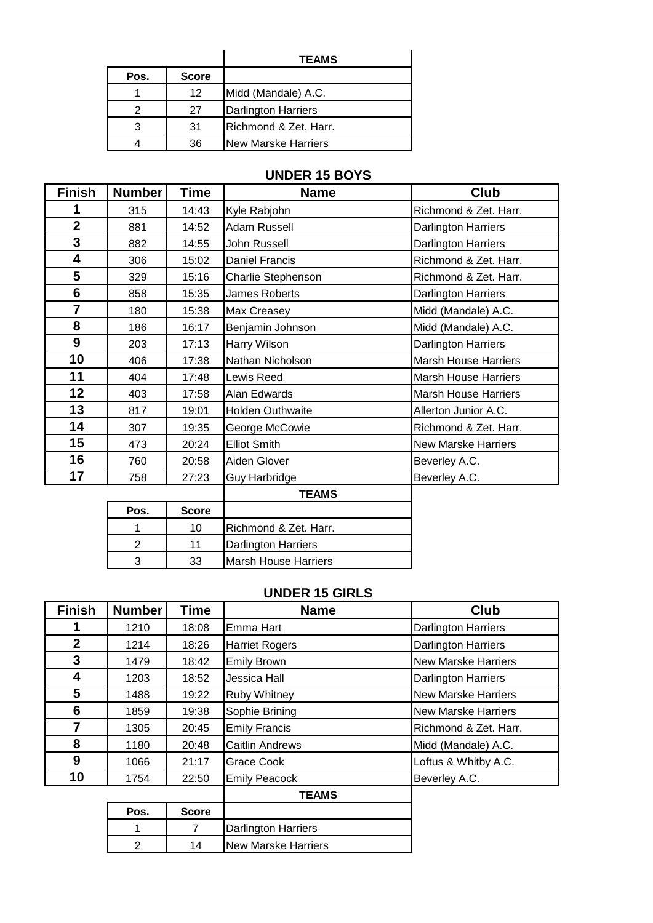|      |              | <b>TEAMS</b>               |
|------|--------------|----------------------------|
| Pos. | <b>Score</b> |                            |
|      | 12           | Midd (Mandale) A.C.        |
|      | 27           | <b>Darlington Harriers</b> |
|      | 31           | Richmond & Zet. Harr.      |
|      | 36           | New Marske Harriers        |

## **UNDER 15 BOYS**

| <b>Finish</b>   | <b>Number</b>  | Time         | <b>Name</b>                 | <b>Club</b>                 |
|-----------------|----------------|--------------|-----------------------------|-----------------------------|
| 1               | 315            | 14:43        | Kyle Rabjohn                | Richmond & Zet. Harr.       |
| $\overline{2}$  | 881            | 14:52        | <b>Adam Russell</b>         | Darlington Harriers         |
| 3               | 882            | 14:55        | John Russell                | Darlington Harriers         |
| 4               | 306            | 15:02        | Daniel Francis              | Richmond & Zet. Harr.       |
| 5               | 329            | 15:16        | Charlie Stephenson          | Richmond & Zet. Harr.       |
| $6\phantom{1}6$ | 858            | 15:35        | James Roberts               | Darlington Harriers         |
| $\overline{7}$  | 180            | 15:38        | Max Creasey                 | Midd (Mandale) A.C.         |
| 8               | 186            | 16:17        | Benjamin Johnson            | Midd (Mandale) A.C.         |
| 9               | 203            | 17:13        | Harry Wilson                | Darlington Harriers         |
| 10              | 406            | 17:38        | Nathan Nicholson            | <b>Marsh House Harriers</b> |
| 11              | 404            | 17:48        | Lewis Reed                  | <b>Marsh House Harriers</b> |
| 12              | 403            | 17:58        | Alan Edwards                | <b>Marsh House Harriers</b> |
| 13              | 817            | 19:01        | Holden Outhwaite            | Allerton Junior A.C.        |
| 14              | 307            | 19:35        | George McCowie              | Richmond & Zet. Harr.       |
| 15              | 473            | 20:24        | <b>Elliot Smith</b>         | <b>New Marske Harriers</b>  |
| 16              | 760            | 20:58        | Aiden Glover                | Beverley A.C.               |
| 17              | 758            | 27:23        | <b>Guy Harbridge</b>        | Beverley A.C.               |
|                 |                |              | <b>TEAMS</b>                |                             |
|                 | Pos.           | <b>Score</b> |                             |                             |
|                 | 1              | 10           | Richmond & Zet. Harr.       |                             |
|                 | $\overline{2}$ | 11           | Darlington Harriers         |                             |
|                 | 3              | 33           | <b>Marsh House Harriers</b> |                             |

#### **UNDER 15 GIRLS**

| <b>Finish</b>    | <b>Number</b> | Time           | <b>Name</b>                | <b>Club</b>                |
|------------------|---------------|----------------|----------------------------|----------------------------|
| 1                | 1210          | 18:08          | Emma Hart                  | <b>Darlington Harriers</b> |
| $\boldsymbol{2}$ | 1214          | 18:26          | <b>Harriet Rogers</b>      | <b>Darlington Harriers</b> |
| 3                | 1479          | 18:42          | <b>Emily Brown</b>         | <b>New Marske Harriers</b> |
| 4                | 1203          | 18:52          | Jessica Hall               | <b>Darlington Harriers</b> |
| 5                | 1488          | 19:22          | <b>Ruby Whitney</b>        | <b>New Marske Harriers</b> |
| 6                | 1859          | 19:38          | Sophie Brining             | <b>New Marske Harriers</b> |
| 7                | 1305          | 20:45          | <b>Emily Francis</b>       | Richmond & Zet. Harr.      |
| 8                | 1180          | 20:48          | <b>Caitlin Andrews</b>     | Midd (Mandale) A.C.        |
| 9                | 1066          | 21:17          | Grace Cook                 | Loftus & Whitby A.C.       |
| 10               | 1754          | 22:50          | <b>Emily Peacock</b>       | Beverley A.C.              |
|                  |               |                | <b>TEAMS</b>               |                            |
|                  | Pos.          | <b>Score</b>   |                            |                            |
|                  | 1             | $\overline{7}$ | Darlington Harriers        |                            |
|                  | $\mathbf{2}$  | 14             | <b>New Marske Harriers</b> |                            |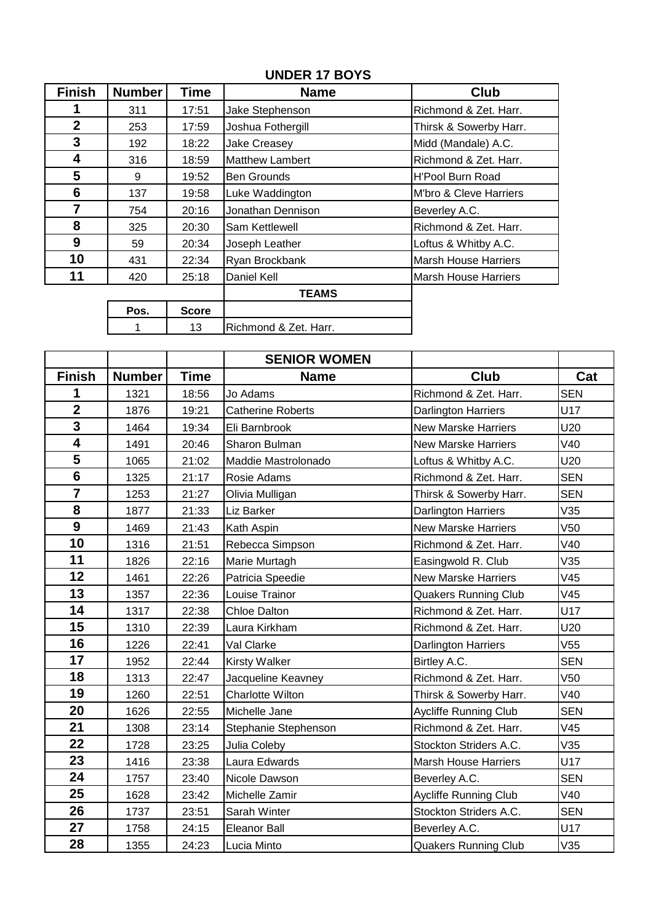## **UNDER 17 BOYS**

| <b>Finish</b> | <b>Number</b> | Time         | <b>Name</b>            | Club                        |
|---------------|---------------|--------------|------------------------|-----------------------------|
|               | 311           | 17:51        | Jake Stephenson        | Richmond & Zet. Harr.       |
| $\mathbf{2}$  | 253           | 17:59        | Joshua Fothergill      | Thirsk & Sowerby Harr.      |
| 3             | 192           | 18:22        | Jake Creasey           | Midd (Mandale) A.C.         |
| 4             | 316           | 18:59        | <b>Matthew Lambert</b> | Richmond & Zet. Harr.       |
| 5             | 9             | 19:52        | <b>Ben Grounds</b>     | <b>H'Pool Burn Road</b>     |
| 6             | 137           | 19:58        | Luke Waddington        | M'bro & Cleve Harriers      |
| 7             | 754           | 20:16        | Jonathan Dennison      | Beverley A.C.               |
| 8             | 325           | 20:30        | Sam Kettlewell         | Richmond & Zet. Harr.       |
| 9             | 59            | 20:34        | Joseph Leather         | Loftus & Whitby A.C.        |
| 10            | 431           | 22:34        | Ryan Brockbank         | <b>Marsh House Harriers</b> |
| 11            | 420           | 25:18        | Daniel Kell            | <b>Marsh House Harriers</b> |
|               |               |              | TEAMS                  |                             |
|               | Pos.          | <b>Score</b> |                        |                             |
|               |               | 13           | Richmond & Zet. Harr.  |                             |

|                         |               |             | <b>SENIOR WOMEN</b>      |                              |                 |
|-------------------------|---------------|-------------|--------------------------|------------------------------|-----------------|
| <b>Finish</b>           | <b>Number</b> | <b>Time</b> | <b>Name</b>              | Club                         | Cat             |
| 1                       | 1321          | 18:56       | Jo Adams                 | Richmond & Zet. Harr.        | <b>SEN</b>      |
| $\overline{2}$          | 1876          | 19:21       | <b>Catherine Roberts</b> | Darlington Harriers          | U17             |
| $\overline{\mathbf{3}}$ | 1464          | 19:34       | Eli Barnbrook            | <b>New Marske Harriers</b>   | U20             |
| $\overline{\mathbf{4}}$ | 1491          | 20:46       | Sharon Bulman            | <b>New Marske Harriers</b>   | V40             |
| 5                       | 1065          | 21:02       | Maddie Mastrolonado      | Loftus & Whitby A.C.         | U20             |
| $6\phantom{1}6$         | 1325          | 21:17       | Rosie Adams              | Richmond & Zet. Harr.        | <b>SEN</b>      |
| $\overline{\mathbf{7}}$ | 1253          | 21:27       | Olivia Mulligan          | Thirsk & Sowerby Harr.       | <b>SEN</b>      |
| 8                       | 1877          | 21:33       | Liz Barker               | Darlington Harriers          | V35             |
| $\overline{9}$          | 1469          | 21:43       | Kath Aspin               | <b>New Marske Harriers</b>   | V50             |
| 10                      | 1316          | 21:51       | Rebecca Simpson          | Richmond & Zet. Harr.        | V40             |
| 11                      | 1826          | 22:16       | Marie Murtagh            | Easingwold R. Club           | V35             |
| 12                      | 1461          | 22:26       | Patricia Speedie         | <b>New Marske Harriers</b>   | V45             |
| 13                      | 1357          | 22:36       | Louise Trainor           | <b>Quakers Running Club</b>  | V45             |
| 14                      | 1317          | 22:38       | <b>Chloe Dalton</b>      | Richmond & Zet. Harr.        | U17             |
| 15                      | 1310          | 22:39       | Laura Kirkham            | Richmond & Zet. Harr.        | U20             |
| 16                      | 1226          | 22:41       | Val Clarke               | Darlington Harriers          | V55             |
| 17                      | 1952          | 22:44       | <b>Kirsty Walker</b>     | Birtley A.C.                 | <b>SEN</b>      |
| 18                      | 1313          | 22:47       | Jacqueline Keavney       | Richmond & Zet. Harr.        | V <sub>50</sub> |
| 19                      | 1260          | 22:51       | Charlotte Wilton         | Thirsk & Sowerby Harr.       | V40             |
| 20                      | 1626          | 22:55       | Michelle Jane            | <b>Aycliffe Running Club</b> | <b>SEN</b>      |
| 21                      | 1308          | 23:14       | Stephanie Stephenson     | Richmond & Zet. Harr.        | V45             |
| 22                      | 1728          | 23:25       | Julia Coleby             | Stockton Striders A.C.       | V35             |
| 23                      | 1416          | 23:38       | Laura Edwards            | <b>Marsh House Harriers</b>  | U17             |
| 24                      | 1757          | 23:40       | Nicole Dawson            | Beverley A.C.                | <b>SEN</b>      |
| 25                      | 1628          | 23:42       | Michelle Zamir           | <b>Aycliffe Running Club</b> | V40             |
| 26                      | 1737          | 23:51       | Sarah Winter             | Stockton Striders A.C.       | <b>SEN</b>      |
| 27                      | 1758          | 24:15       | <b>Eleanor Ball</b>      | Beverley A.C.                | U17             |
| 28                      | 1355          | 24:23       | Lucia Minto              | <b>Quakers Running Club</b>  | V35             |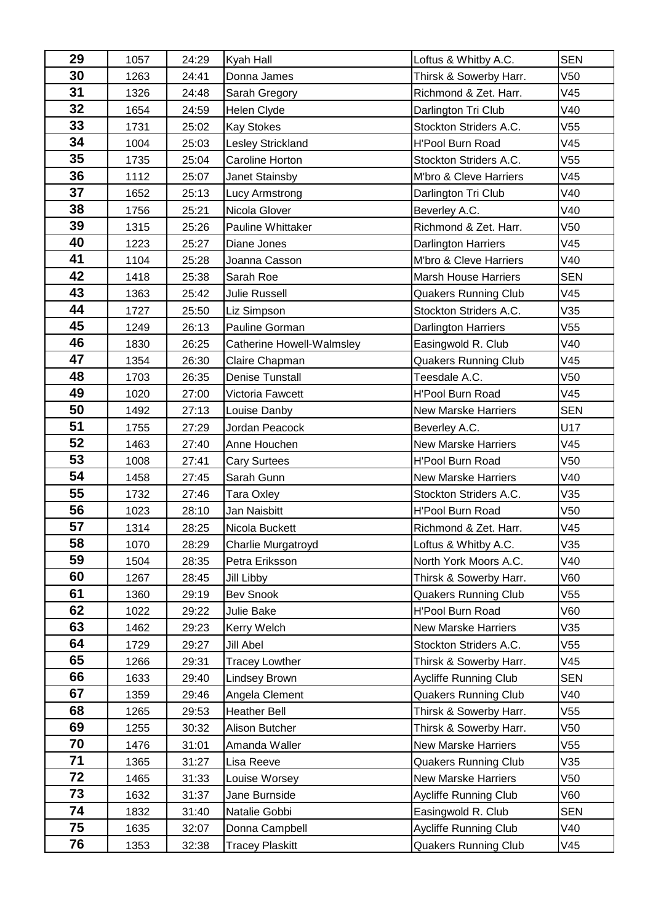| 29 | 1057 | 24:29 | Kyah Hall                 | Loftus & Whitby A.C.         | <b>SEN</b>      |
|----|------|-------|---------------------------|------------------------------|-----------------|
| 30 | 1263 | 24:41 | Donna James               | Thirsk & Sowerby Harr.       | V <sub>50</sub> |
| 31 | 1326 | 24:48 | Sarah Gregory             | Richmond & Zet. Harr.        | V45             |
| 32 | 1654 | 24:59 | Helen Clyde               | Darlington Tri Club          | V40             |
| 33 | 1731 | 25:02 | <b>Kay Stokes</b>         | Stockton Striders A.C.       | V <sub>55</sub> |
| 34 | 1004 | 25:03 | Lesley Strickland         | H'Pool Burn Road             | V45             |
| 35 | 1735 | 25:04 | Caroline Horton           | Stockton Striders A.C.       | V <sub>55</sub> |
| 36 | 1112 | 25:07 | <b>Janet Stainsby</b>     | M'bro & Cleve Harriers       | V45             |
| 37 | 1652 | 25:13 | <b>Lucy Armstrong</b>     | Darlington Tri Club          | V40             |
| 38 | 1756 | 25:21 | Nicola Glover             | Beverley A.C.                | V40             |
| 39 | 1315 | 25:26 | Pauline Whittaker         | Richmond & Zet. Harr.        | V <sub>50</sub> |
| 40 | 1223 | 25:27 | Diane Jones               | Darlington Harriers          | V45             |
| 41 | 1104 | 25:28 | Joanna Casson             | M'bro & Cleve Harriers       | V40             |
| 42 | 1418 | 25:38 | Sarah Roe                 | <b>Marsh House Harriers</b>  | <b>SEN</b>      |
| 43 | 1363 | 25:42 | <b>Julie Russell</b>      | <b>Quakers Running Club</b>  | V45             |
| 44 | 1727 | 25:50 | Liz Simpson               | Stockton Striders A.C.       | V35             |
| 45 | 1249 | 26:13 | Pauline Gorman            | Darlington Harriers          | V <sub>55</sub> |
| 46 | 1830 | 26:25 | Catherine Howell-Walmsley | Easingwold R. Club           | V40             |
| 47 | 1354 | 26:30 | Claire Chapman            | <b>Quakers Running Club</b>  | V45             |
| 48 | 1703 | 26:35 | <b>Denise Tunstall</b>    | Teesdale A.C.                | V <sub>50</sub> |
| 49 | 1020 | 27:00 | Victoria Fawcett          | H'Pool Burn Road             | V45             |
| 50 | 1492 | 27:13 | Louise Danby              | <b>New Marske Harriers</b>   | <b>SEN</b>      |
| 51 | 1755 | 27:29 | Jordan Peacock            | Beverley A.C.                | U17             |
| 52 | 1463 | 27:40 | Anne Houchen              | <b>New Marske Harriers</b>   | V45             |
| 53 | 1008 | 27:41 | <b>Cary Surtees</b>       | H'Pool Burn Road             | V <sub>50</sub> |
| 54 | 1458 | 27:45 | Sarah Gunn                | <b>New Marske Harriers</b>   | V40             |
| 55 | 1732 | 27:46 | Tara Oxley                | Stockton Striders A.C.       | V35             |
| 56 | 1023 | 28:10 | Jan Naisbitt              | H'Pool Burn Road             | V <sub>50</sub> |
| 57 | 1314 | 28:25 | Nicola Buckett            | Richmond & Zet. Harr.        | V45             |
| 58 | 1070 | 28:29 | Charlie Murgatroyd        | Loftus & Whitby A.C.         | V35             |
| 59 | 1504 | 28:35 | Petra Eriksson            | North York Moors A.C.        | V40             |
| 60 | 1267 | 28:45 | Jill Libby                | Thirsk & Sowerby Harr.       | V60             |
| 61 | 1360 | 29:19 | <b>Bev Snook</b>          | <b>Quakers Running Club</b>  | V <sub>55</sub> |
| 62 | 1022 | 29:22 | Julie Bake                | H'Pool Burn Road             | V60             |
| 63 | 1462 | 29:23 | Kerry Welch               | <b>New Marske Harriers</b>   | V35             |
| 64 | 1729 | 29:27 | Jill Abel                 | Stockton Striders A.C.       | V55             |
| 65 | 1266 | 29:31 | <b>Tracey Lowther</b>     | Thirsk & Sowerby Harr.       | V45             |
| 66 | 1633 | 29:40 | Lindsey Brown             | <b>Aycliffe Running Club</b> | <b>SEN</b>      |
| 67 | 1359 | 29:46 | Angela Clement            | <b>Quakers Running Club</b>  | V40             |
| 68 | 1265 | 29:53 | <b>Heather Bell</b>       | Thirsk & Sowerby Harr.       | V55             |
| 69 | 1255 | 30:32 | Alison Butcher            | Thirsk & Sowerby Harr.       | V50             |
| 70 | 1476 | 31:01 | Amanda Waller             | New Marske Harriers          | V55             |
| 71 | 1365 | 31:27 | Lisa Reeve                | <b>Quakers Running Club</b>  | V35             |
| 72 | 1465 | 31:33 | Louise Worsey             | <b>New Marske Harriers</b>   | V50             |
| 73 | 1632 | 31:37 | Jane Burnside             | Aycliffe Running Club        | V60             |
| 74 | 1832 | 31:40 | Natalie Gobbi             | Easingwold R. Club           | <b>SEN</b>      |
| 75 | 1635 | 32:07 | Donna Campbell            | <b>Aycliffe Running Club</b> | V40             |
| 76 | 1353 | 32:38 | <b>Tracey Plaskitt</b>    | <b>Quakers Running Club</b>  | V45             |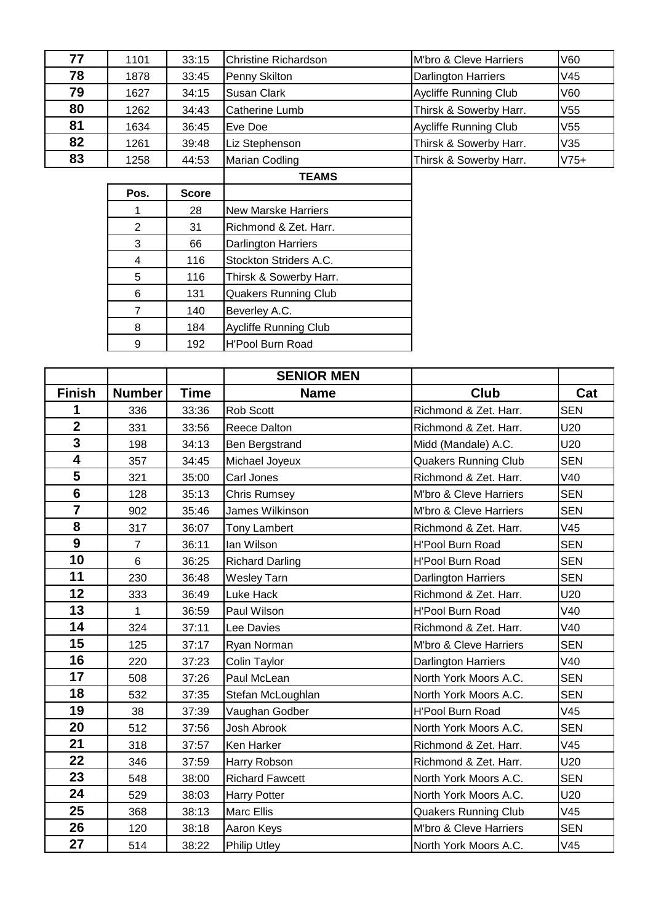| 77 | 1101 | 33:15 | Christine Richardson  | M'bro & Cleve Harriers       | V60             |
|----|------|-------|-----------------------|------------------------------|-----------------|
| 78 | 1878 | 33:45 | Penny Skilton         | <b>Darlington Harriers</b>   | V45             |
| 79 | 1627 | 34:15 | <b>Susan Clark</b>    | <b>Aycliffe Running Club</b> | V60             |
| 80 | 1262 | 34:43 | <b>Catherine Lumb</b> | Thirsk & Sowerby Harr.       | V <sub>55</sub> |
| 81 | 1634 | 36:45 | Eve Doe               | <b>Aycliffe Running Club</b> | V <sub>55</sub> |
| 82 | 1261 | 39:48 | Liz Stephenson        | Thirsk & Sowerby Harr.       | V35             |
| 83 | 1258 | 44:53 | <b>Marian Codling</b> | Thirsk & Sowerby Harr.       | $V75+$          |

|      |              | <b>TEAMS</b>                 |
|------|--------------|------------------------------|
| Pos. | <b>Score</b> |                              |
|      | 28           | <b>New Marske Harriers</b>   |
| 2    | 31           | Richmond & Zet. Harr.        |
| 3    | 66           | <b>Darlington Harriers</b>   |
| 4    | 116          | Stockton Striders A.C.       |
| 5    | 116          | Thirsk & Sowerby Harr.       |
| 6    | 131          | <b>Quakers Running Club</b>  |
| 7    | 140          | Beverley A.C.                |
| 8    | 184          | <b>Aycliffe Running Club</b> |
| 9    | 192          | <b>H'Pool Burn Road</b>      |
|      |              |                              |

|                         |                |             | <b>SENIOR MEN</b>      |                             |            |
|-------------------------|----------------|-------------|------------------------|-----------------------------|------------|
| <b>Finish</b>           | <b>Number</b>  | <b>Time</b> | <b>Name</b>            | <b>Club</b>                 | Cat        |
| 1                       | 336            | 33:36       | Rob Scott              | Richmond & Zet. Harr.       | <b>SEN</b> |
| $\overline{\mathbf{2}}$ | 331            | 33:56       | <b>Reece Dalton</b>    | Richmond & Zet. Harr.       | U20        |
| $\mathbf{3}$            | 198            | 34:13       | Ben Bergstrand         | Midd (Mandale) A.C.         | U20        |
| $\overline{\mathbf{4}}$ | 357            | 34:45       | Michael Joyeux         | <b>Quakers Running Club</b> | <b>SEN</b> |
| 5                       | 321            | 35:00       | Carl Jones             | Richmond & Zet. Harr.       | V40        |
| $\overline{\mathbf{6}}$ | 128            | 35:13       | <b>Chris Rumsey</b>    | M'bro & Cleve Harriers      | <b>SEN</b> |
| $\overline{\mathbf{7}}$ | 902            | 35:46       | James Wilkinson        | M'bro & Cleve Harriers      | <b>SEN</b> |
| 8                       | 317            | 36:07       | <b>Tony Lambert</b>    | Richmond & Zet. Harr.       | V45        |
| $\overline{9}$          | $\overline{7}$ | 36:11       | lan Wilson             | <b>H'Pool Burn Road</b>     | <b>SEN</b> |
| 10                      | 6              | 36:25       | <b>Richard Darling</b> | <b>H'Pool Burn Road</b>     | <b>SEN</b> |
| 11                      | 230            | 36:48       | <b>Wesley Tarn</b>     | <b>Darlington Harriers</b>  | <b>SEN</b> |
| 12                      | 333            | 36:49       | Luke Hack              | Richmond & Zet. Harr.       | U20        |
| 13                      | $\mathbf{1}$   | 36:59       | Paul Wilson            | <b>H'Pool Burn Road</b>     | V40        |
| 14                      | 324            | 37:11       | Lee Davies             | Richmond & Zet. Harr.       | V40        |
| 15                      | 125            | 37:17       | Ryan Norman            | M'bro & Cleve Harriers      | <b>SEN</b> |
| 16                      | 220            | 37:23       | Colin Taylor           | <b>Darlington Harriers</b>  | V40        |
| 17                      | 508            | 37:26       | Paul McLean            | North York Moors A.C.       | <b>SEN</b> |
| 18                      | 532            | 37:35       | Stefan McLoughlan      | North York Moors A.C.       | <b>SEN</b> |
| 19                      | 38             | 37:39       | Vaughan Godber         | <b>H'Pool Burn Road</b>     | V45        |
| 20                      | 512            | 37:56       | Josh Abrook            | North York Moors A.C.       | <b>SEN</b> |
| 21                      | 318            | 37:57       | Ken Harker             | Richmond & Zet. Harr.       | V45        |
| 22                      | 346            | 37:59       | Harry Robson           | Richmond & Zet. Harr.       | U20        |
| 23                      | 548            | 38:00       | <b>Richard Fawcett</b> | North York Moors A.C.       | <b>SEN</b> |
| 24                      | 529            | 38:03       | <b>Harry Potter</b>    | North York Moors A.C.       | U20        |
| 25                      | 368            | 38:13       | Marc Ellis             | Quakers Running Club        | V45        |
| 26                      | 120            | 38:18       | Aaron Keys             | M'bro & Cleve Harriers      | <b>SEN</b> |
| 27                      | 514            | 38:22       | <b>Philip Utley</b>    | North York Moors A.C.       | V45        |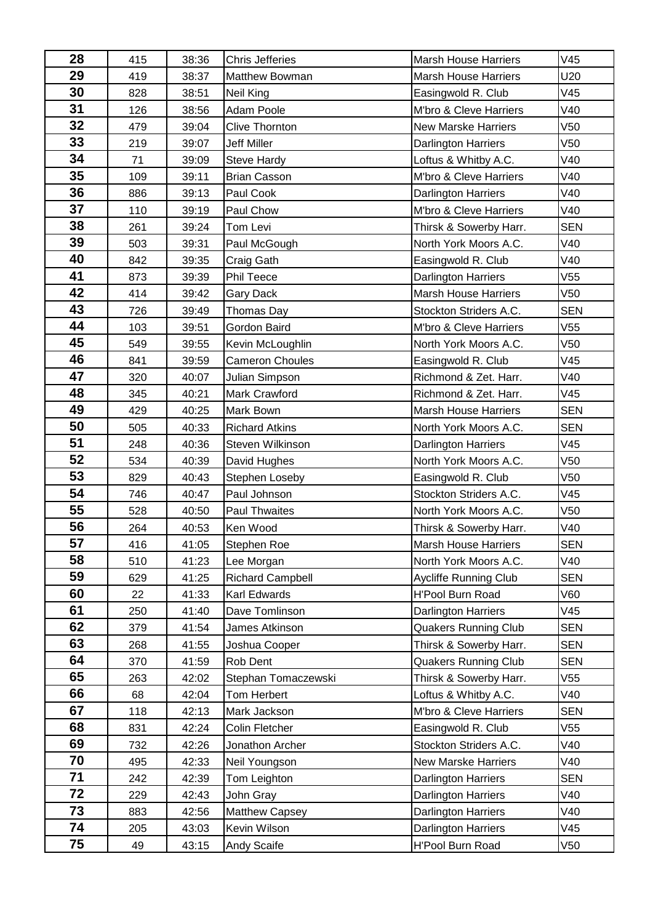| 28 | 415 | 38:36 | <b>Chris Jefferies</b>  | <b>Marsh House Harriers</b>  | V45             |
|----|-----|-------|-------------------------|------------------------------|-----------------|
| 29 | 419 | 38:37 | <b>Matthew Bowman</b>   | <b>Marsh House Harriers</b>  | U20             |
| 30 | 828 | 38:51 | <b>Neil King</b>        | Easingwold R. Club           | V45             |
| 31 | 126 | 38:56 | Adam Poole              | M'bro & Cleve Harriers       | V40             |
| 32 | 479 | 39:04 | <b>Clive Thornton</b>   | <b>New Marske Harriers</b>   | V <sub>50</sub> |
| 33 | 219 | 39:07 | <b>Jeff Miller</b>      | Darlington Harriers          | V <sub>50</sub> |
| 34 | 71  | 39:09 | Steve Hardy             | Loftus & Whitby A.C.         | V40             |
| 35 | 109 | 39:11 | <b>Brian Casson</b>     | M'bro & Cleve Harriers       | V40             |
| 36 | 886 | 39:13 | Paul Cook               | Darlington Harriers          | V40             |
| 37 | 110 | 39:19 | Paul Chow               | M'bro & Cleve Harriers       | V40             |
| 38 | 261 | 39:24 | Tom Levi                | Thirsk & Sowerby Harr.       | <b>SEN</b>      |
| 39 | 503 | 39:31 | Paul McGough            | North York Moors A.C.        | V40             |
| 40 | 842 | 39:35 | Craig Gath              | Easingwold R. Club           | V40             |
| 41 | 873 | 39:39 | Phil Teece              | Darlington Harriers          | V <sub>55</sub> |
| 42 | 414 | 39:42 | <b>Gary Dack</b>        | <b>Marsh House Harriers</b>  | V <sub>50</sub> |
| 43 | 726 | 39:49 | Thomas Day              | Stockton Striders A.C.       | <b>SEN</b>      |
| 44 | 103 | 39:51 | Gordon Baird            | M'bro & Cleve Harriers       | V <sub>55</sub> |
| 45 | 549 | 39:55 | Kevin McLoughlin        | North York Moors A.C.        | V <sub>50</sub> |
| 46 | 841 | 39:59 | <b>Cameron Choules</b>  | Easingwold R. Club           | V45             |
| 47 | 320 | 40:07 | Julian Simpson          | Richmond & Zet. Harr.        | V40             |
| 48 | 345 | 40:21 | Mark Crawford           | Richmond & Zet. Harr.        | V45             |
| 49 | 429 | 40:25 | Mark Bown               | <b>Marsh House Harriers</b>  | <b>SEN</b>      |
| 50 | 505 | 40:33 | <b>Richard Atkins</b>   | North York Moors A.C.        | <b>SEN</b>      |
| 51 | 248 | 40:36 | Steven Wilkinson        | Darlington Harriers          | V45             |
| 52 | 534 | 40:39 | David Hughes            | North York Moors A.C.        | V <sub>50</sub> |
| 53 | 829 | 40:43 | Stephen Loseby          | Easingwold R. Club           | V <sub>50</sub> |
| 54 | 746 | 40:47 | Paul Johnson            | Stockton Striders A.C.       | V45             |
| 55 | 528 | 40:50 | Paul Thwaites           | North York Moors A.C.        | V <sub>50</sub> |
| 56 | 264 | 40:53 | Ken Wood                | Thirsk & Sowerby Harr.       | V40             |
| 57 | 416 | 41:05 | Stephen Roe             | Marsh House Harriers         | <b>SEN</b>      |
| 58 | 510 | 41:23 | Lee Morgan              | North York Moors A.C.        | V40             |
| 59 | 629 | 41:25 | <b>Richard Campbell</b> | <b>Aycliffe Running Club</b> | <b>SEN</b>      |
| 60 | 22  | 41:33 | Karl Edwards            | <b>H'Pool Burn Road</b>      | <b>V60</b>      |
| 61 | 250 | 41:40 | Dave Tomlinson          | Darlington Harriers          | V45             |
| 62 | 379 | 41:54 | James Atkinson          | <b>Quakers Running Club</b>  | <b>SEN</b>      |
| 63 | 268 | 41:55 | Joshua Cooper           | Thirsk & Sowerby Harr.       | <b>SEN</b>      |
| 64 | 370 | 41:59 | Rob Dent                | <b>Quakers Running Club</b>  | <b>SEN</b>      |
| 65 | 263 | 42:02 | Stephan Tomaczewski     | Thirsk & Sowerby Harr.       | V55             |
| 66 | 68  | 42:04 | Tom Herbert             | Loftus & Whitby A.C.         | V40             |
| 67 | 118 | 42:13 | Mark Jackson            | M'bro & Cleve Harriers       | <b>SEN</b>      |
| 68 | 831 | 42:24 | <b>Colin Fletcher</b>   | Easingwold R. Club           | V <sub>55</sub> |
| 69 | 732 | 42:26 | Jonathon Archer         | Stockton Striders A.C.       | V40             |
| 70 | 495 | 42:33 | Neil Youngson           | <b>New Marske Harriers</b>   | V40             |
| 71 | 242 | 42:39 | Tom Leighton            | Darlington Harriers          | <b>SEN</b>      |
| 72 | 229 | 42:43 | John Gray               | Darlington Harriers          | V40             |
| 73 | 883 | 42:56 | Matthew Capsey          | Darlington Harriers          | V40             |
| 74 | 205 | 43:03 | Kevin Wilson            | Darlington Harriers          | V45             |
| 75 | 49  | 43:15 | Andy Scaife             | <b>H'Pool Burn Road</b>      | V50             |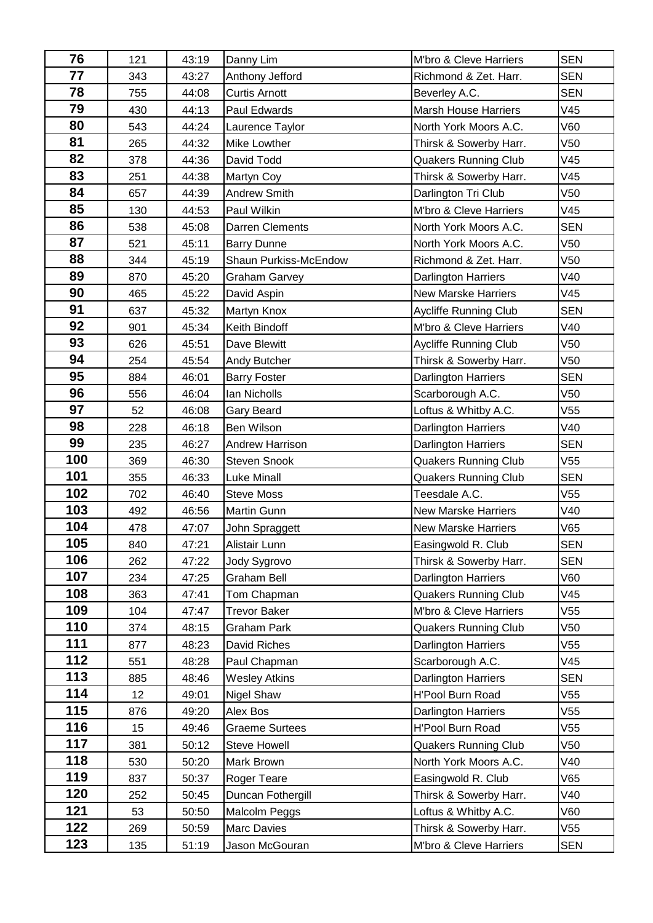| 76  | 121 | 43:19 | Danny Lim              | M'bro & Cleve Harriers       | <b>SEN</b>      |
|-----|-----|-------|------------------------|------------------------------|-----------------|
| 77  | 343 | 43:27 | Anthony Jefford        | Richmond & Zet. Harr.        | <b>SEN</b>      |
| 78  | 755 | 44:08 | <b>Curtis Arnott</b>   | Beverley A.C.                | <b>SEN</b>      |
| 79  | 430 | 44:13 | Paul Edwards           | <b>Marsh House Harriers</b>  | V45             |
| 80  | 543 | 44:24 | Laurence Taylor        | North York Moors A.C.        | V60             |
| 81  | 265 | 44:32 | Mike Lowther           | Thirsk & Sowerby Harr.       | V <sub>50</sub> |
| 82  | 378 | 44:36 | David Todd             | <b>Quakers Running Club</b>  | V45             |
| 83  | 251 | 44:38 | <b>Martyn Coy</b>      | Thirsk & Sowerby Harr.       | V45             |
| 84  | 657 | 44:39 | Andrew Smith           | Darlington Tri Club          | V <sub>50</sub> |
| 85  | 130 | 44:53 | Paul Wilkin            | M'bro & Cleve Harriers       | V45             |
| 86  | 538 | 45:08 | <b>Darren Clements</b> | North York Moors A.C.        | <b>SEN</b>      |
| 87  | 521 | 45:11 | <b>Barry Dunne</b>     | North York Moors A.C.        | V <sub>50</sub> |
| 88  | 344 | 45:19 | Shaun Purkiss-McEndow  | Richmond & Zet. Harr.        | V <sub>50</sub> |
| 89  | 870 | 45:20 | <b>Graham Garvey</b>   | <b>Darlington Harriers</b>   | V40             |
| 90  | 465 | 45:22 | David Aspin            | <b>New Marske Harriers</b>   | V45             |
| 91  | 637 | 45:32 | Martyn Knox            | <b>Aycliffe Running Club</b> | <b>SEN</b>      |
| 92  | 901 | 45:34 | Keith Bindoff          | M'bro & Cleve Harriers       | V40             |
| 93  | 626 | 45:51 | Dave Blewitt           | <b>Aycliffe Running Club</b> | V <sub>50</sub> |
| 94  | 254 | 45:54 | Andy Butcher           | Thirsk & Sowerby Harr.       | V <sub>50</sub> |
| 95  | 884 | 46:01 | <b>Barry Foster</b>    | <b>Darlington Harriers</b>   | <b>SEN</b>      |
| 96  | 556 | 46:04 | Ian Nicholls           | Scarborough A.C.             | V <sub>50</sub> |
| 97  | 52  | 46:08 | Gary Beard             | Loftus & Whitby A.C.         | V <sub>55</sub> |
| 98  | 228 | 46:18 | Ben Wilson             | Darlington Harriers          | V40             |
| 99  | 235 | 46:27 | Andrew Harrison        | Darlington Harriers          | <b>SEN</b>      |
| 100 | 369 | 46:30 | <b>Steven Snook</b>    | <b>Quakers Running Club</b>  | V <sub>55</sub> |
| 101 | 355 | 46:33 | <b>Luke Minall</b>     | <b>Quakers Running Club</b>  | <b>SEN</b>      |
| 102 | 702 | 46:40 | <b>Steve Moss</b>      | Teesdale A.C.                | V55             |
| 103 | 492 | 46:56 | Martin Gunn            | <b>New Marske Harriers</b>   | V40             |
| 104 | 478 | 47:07 | John Spraggett         | <b>New Marske Harriers</b>   | V65             |
| 105 | 840 | 47:21 | Alistair Lunn          | Easingwold R. Club           | <b>SEN</b>      |
| 106 | 262 | 47:22 | Jody Sygrovo           | Thirsk & Sowerby Harr.       | <b>SEN</b>      |
| 107 | 234 | 47:25 | Graham Bell            | <b>Darlington Harriers</b>   | <b>V60</b>      |
| 108 | 363 | 47:41 | Tom Chapman            | <b>Quakers Running Club</b>  | V45             |
| 109 | 104 | 47:47 | Trevor Baker           | M'bro & Cleve Harriers       | V55             |
| 110 | 374 | 48:15 | Graham Park            | <b>Quakers Running Club</b>  | V <sub>50</sub> |
| 111 | 877 | 48:23 | David Riches           | Darlington Harriers          | V55             |
| 112 | 551 | 48:28 | Paul Chapman           | Scarborough A.C.             | V45             |
| 113 | 885 | 48:46 | <b>Wesley Atkins</b>   | <b>Darlington Harriers</b>   | <b>SEN</b>      |
| 114 | 12  | 49:01 | Nigel Shaw             | <b>H'Pool Burn Road</b>      | V55             |
| 115 | 876 | 49:20 | Alex Bos               | <b>Darlington Harriers</b>   | V <sub>55</sub> |
| 116 | 15  | 49:46 | <b>Graeme Surtees</b>  | <b>H'Pool Burn Road</b>      | V <sub>55</sub> |
| 117 | 381 | 50:12 | <b>Steve Howell</b>    | <b>Quakers Running Club</b>  | V50             |
| 118 | 530 | 50:20 | Mark Brown             | North York Moors A.C.        | V40             |
| 119 | 837 | 50:37 | Roger Teare            | Easingwold R. Club           | V65             |
| 120 | 252 | 50:45 | Duncan Fothergill      | Thirsk & Sowerby Harr.       | V40             |
| 121 | 53  | 50:50 | Malcolm Peggs          | Loftus & Whitby A.C.         | V60             |
| 122 | 269 | 50:59 | Marc Davies            | Thirsk & Sowerby Harr.       | V55             |
| 123 | 135 | 51:19 | Jason McGouran         | M'bro & Cleve Harriers       | <b>SEN</b>      |